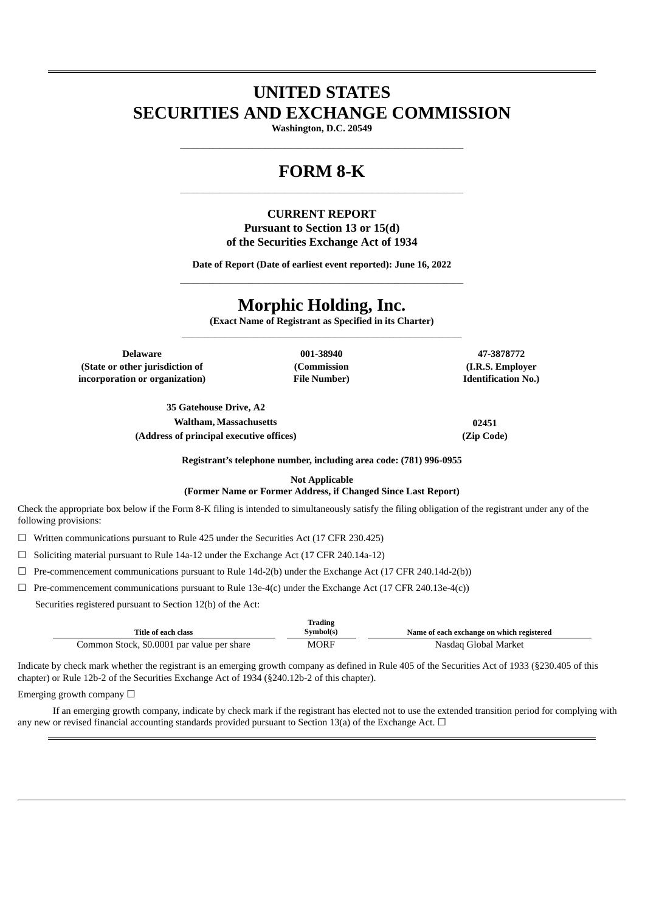# **UNITED STATES SECURITIES AND EXCHANGE COMMISSION**

**Washington, D.C. 20549** \_\_\_\_\_\_\_\_\_\_\_\_\_\_\_\_\_\_\_\_\_\_\_\_\_\_\_\_\_\_\_\_\_\_\_\_\_\_\_\_\_\_\_\_\_\_\_\_\_\_\_\_\_\_\_\_\_\_\_\_\_\_\_\_\_\_\_\_\_\_\_\_\_\_\_\_\_\_\_\_\_\_\_\_\_\_\_

## **FORM 8-K** \_\_\_\_\_\_\_\_\_\_\_\_\_\_\_\_\_\_\_\_\_\_\_\_\_\_\_\_\_\_\_\_\_\_\_\_\_\_\_\_\_\_\_\_\_\_\_\_\_\_\_\_\_\_\_\_\_\_\_\_\_\_\_\_\_\_\_\_\_\_\_\_\_\_\_\_\_\_\_\_\_\_\_\_\_\_\_

### **CURRENT REPORT Pursuant to Section 13 or 15(d) of the Securities Exchange Act of 1934**

**Date of Report (Date of earliest event reported): June 16, 2022**

# **Morphic Holding, Inc.**

**(Exact Name of Registrant as Specified in its Charter)**  $\mathcal{L}_\text{max}$ 

**Delaware 001-38940 47-3878772 (State or other jurisdiction of incorporation or organization)**

**(Commission File Number)**

**(I.R.S. Employer Identification No.)**

**35 Gatehouse Drive, A2 Waltham, Massachusetts 02451 (Address of principal executive offices) (Zip Code)**

**Registrant's telephone number, including area code: (781) 996-0955**

**Not Applicable**

#### **(Former Name or Former Address, if Changed Since Last Report)**

Check the appropriate box below if the Form 8-K filing is intended to simultaneously satisfy the filing obligation of the registrant under any of the following provisions:

☐ Written communications pursuant to Rule 425 under the Securities Act (17 CFR 230.425)

☐ Soliciting material pursuant to Rule 14a-12 under the Exchange Act (17 CFR 240.14a-12)

 $\Box$  Pre-commencement communications pursuant to Rule 14d-2(b) under the Exchange Act (17 CFR 240.14d-2(b))

 $\Box$  Pre-commencement communications pursuant to Rule 13e-4(c) under the Exchange Act (17 CFR 240.13e-4(c))

Securities registered pursuant to Section 12(b) of the Act:

| Title of each class                        | Trading<br>Symbol(s) | Name of each exchange on which registered |
|--------------------------------------------|----------------------|-------------------------------------------|
| Common Stock, \$0.0001 par value per share | MORF                 | Nasdaq Global Market                      |

Indicate by check mark whether the registrant is an emerging growth company as defined in Rule 405 of the Securities Act of 1933 (§230.405 of this chapter) or Rule 12b-2 of the Securities Exchange Act of 1934 (§240.12b-2 of this chapter).

#### Emerging growth company  $\Box$

If an emerging growth company, indicate by check mark if the registrant has elected not to use the extended transition period for complying with any new or revised financial accounting standards provided pursuant to Section 13(a) of the Exchange Act.  $\Box$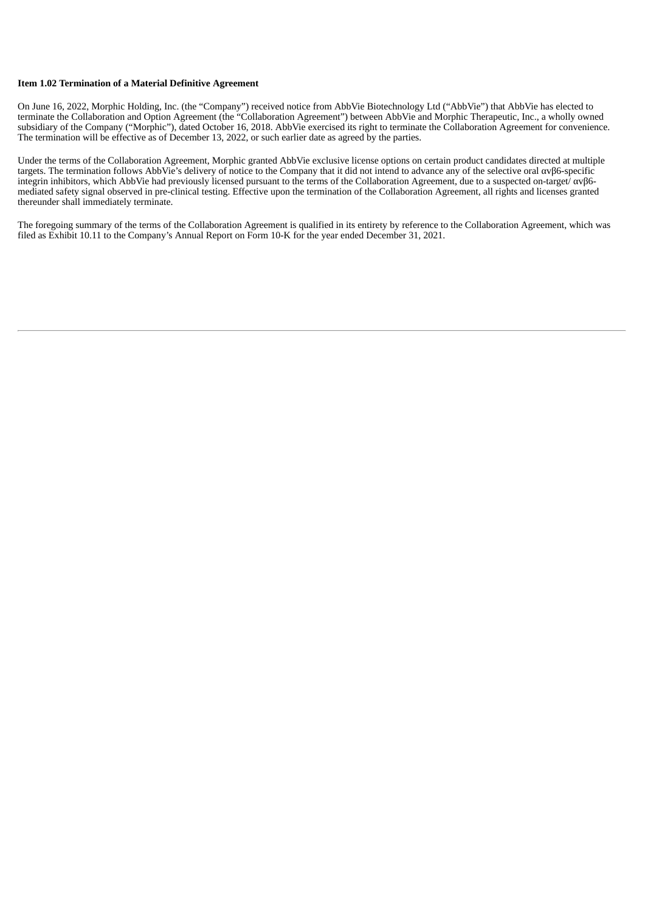#### **Item 1.02 Termination of a Material Definitive Agreement**

On June 16, 2022, Morphic Holding, Inc. (the "Company") received notice from AbbVie Biotechnology Ltd ("AbbVie") that AbbVie has elected to terminate the Collaboration and Option Agreement (the "Collaboration Agreement") between AbbVie and Morphic Therapeutic, Inc., a wholly owned subsidiary of the Company ("Morphic"), dated October 16, 2018. AbbVie exercised its right to terminate the Collaboration Agreement for convenience. The termination will be effective as of December 13, 2022, or such earlier date as agreed by the parties.

Under the terms of the Collaboration Agreement, Morphic granted AbbVie exclusive license options on certain product candidates directed at multiple targets. The termination follows AbbVie's delivery of notice to the Company that it did not intend to advance any of the selective oral αvβ6-specific integrin inhibitors, which AbbVie had previously licensed pursuant to the terms of the Collaboration Agreement, due to a suspected on-target/ αvβ6 mediated safety signal observed in pre-clinical testing. Effective upon the termination of the Collaboration Agreement, all rights and licenses granted thereunder shall immediately terminate.

The foregoing summary of the terms of the Collaboration Agreement is qualified in its entirety by reference to the Collaboration Agreement, which was filed as Exhibit 10.11 to the Company's Annual Report on Form 10-K for the year ended December 31, 2021.